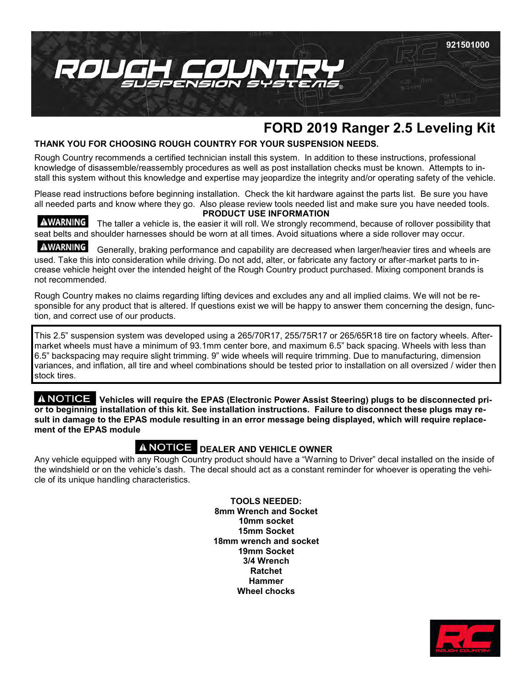

# **FORD 2019 Ranger 2.5 Leveling Kit**

## **THANK YOU FOR CHOOSING ROUGH COUNTRY FOR YOUR SUSPENSION NEEDS.**

Rough Country recommends a certified technician install this system. In addition to these instructions, professional knowledge of disassemble/reassembly procedures as well as post installation checks must be known. Attempts to install this system without this knowledge and expertise may jeopardize the integrity and/or operating safety of the vehicle.

Please read instructions before beginning installation. Check the kit hardware against the parts list. Be sure you have all needed parts and know where they go. Also please review tools needed list and make sure you have needed tools. **PRODUCT USE INFORMATION**

AWARNING The taller a vehicle is, the easier it will roll. We strongly recommend, because of rollover possibility that seat belts and shoulder harnesses should be worn at all times. Avoid situations where a side rollover may occur.

AWARNING Generally, braking performance and capability are decreased when larger/heavier tires and wheels are used. Take this into consideration while driving. Do not add, alter, or fabricate any factory or after-market parts to increase vehicle height over the intended height of the Rough Country product purchased. Mixing component brands is not recommended.

Rough Country makes no claims regarding lifting devices and excludes any and all implied claims. We will not be responsible for any product that is altered. If questions exist we will be happy to answer them concerning the design, function, and correct use of our products.

This 2.5" suspension system was developed using a 265/70R17, 255/75R17 or 265/65R18 tire on factory wheels. Aftermarket wheels must have a minimum of 93.1mm center bore, and maximum 6.5" back spacing. Wheels with less than 6.5" backspacing may require slight trimming. 9" wide wheels will require trimming. Due to manufacturing, dimension variances, and inflation, all tire and wheel combinations should be tested prior to installation on all oversized / wider then stock tires.

**Vehicles will require the EPAS (Electronic Power Assist Steering) plugs to be disconnected prior to beginning installation of this kit. See installation instructions. Failure to disconnect these plugs may result in damage to the EPAS module resulting in an error message being displayed, which will require replacement of the EPAS module**

## **A NOTICE DEALER AND VEHICLE OWNER**

Any vehicle equipped with any Rough Country product should have a "Warning to Driver" decal installed on the inside of the windshield or on the vehicle's dash. The decal should act as a constant reminder for whoever is operating the vehicle of its unique handling characteristics.

> **TOOLS NEEDED: 8mm Wrench and Socket 10mm socket 15mm Socket 18mm wrench and socket 19mm Socket 3/4 Wrench Ratchet Hammer Wheel chocks**

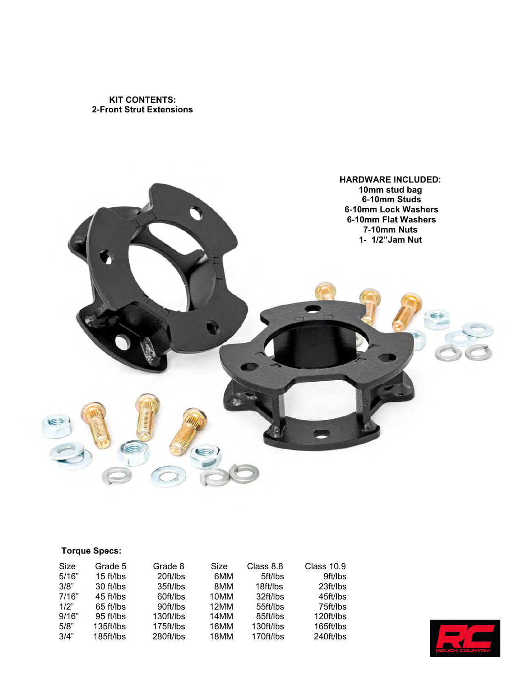**KIT CONTENTS: 2-Front Strut Extensions** 



## **Torque Specs:**

| Size  | Grade 5     | Grade 8   | Size | Class 8.8 | Class 10.9 |
|-------|-------------|-----------|------|-----------|------------|
| 5/16" | $15$ ft/lbs | 20ft/lbs  | 6MM  | 5ft/lbs   | 9ft/lbs    |
| 3/8"  | 30 ft/lbs   | 35ft/lbs  | 8MM  | 18ft/lbs  | 23 ft/lbs  |
| 7/16" | 45 ft/lbs   | 60ft/lbs  | 10MM | 32ft/lbs  | 45ft/lbs   |
| 1/2"  | 65 ft/lbs   | 90ft/lbs  | 12MM | 55ft/lbs  | 75ft/lbs   |
| 9/16" | 95 ft/lbs   | 130ft/lbs | 14MM | 85ft/lbs  | 120ft/lbs  |
| 5/8"  | 135ft/lbs   | 175ft/lbs | 16MM | 130ft/lbs | 165ft/lbs  |
| 3/4"  | 185ft/lbs   | 280ft/lbs | 18MM | 170ft/lbs | 240ft/lbs  |

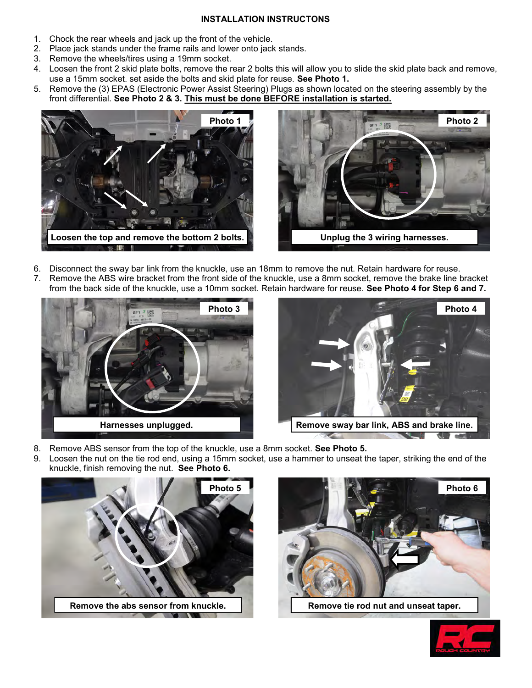#### **INSTALLATION INSTRUCTONS**

- 1. Chock the rear wheels and jack up the front of the vehicle.
- 2. Place jack stands under the frame rails and lower onto jack stands.
- 3. Remove the wheels/tires using a 19mm socket.
- 4. Loosen the front 2 skid plate bolts, remove the rear 2 bolts this will allow you to slide the skid plate back and remove, use a 15mm socket. set aside the bolts and skid plate for reuse. **See Photo 1.**
- 5. Remove the (3) EPAS (Electronic Power Assist Steering) Plugs as shown located on the steering assembly by the front differential. **See Photo 2 & 3. This must be done BEFORE installation is started.**





- 6. Disconnect the sway bar link from the knuckle, use an 18mm to remove the nut. Retain hardware for reuse.
- 7. Remove the ABS wire bracket from the front side of the knuckle, use a 8mm socket, remove the brake line bracket from the back side of the knuckle, use a 10mm socket. Retain hardware for reuse. **See Photo 4 for Step 6 and 7.**





- 8. Remove ABS sensor from the top of the knuckle, use a 8mm socket. **See Photo 5.**
- 9. Loosen the nut on the tie rod end, using a 15mm socket, use a hammer to unseat the taper, striking the end of the knuckle, finish removing the nut. **See Photo 6.**





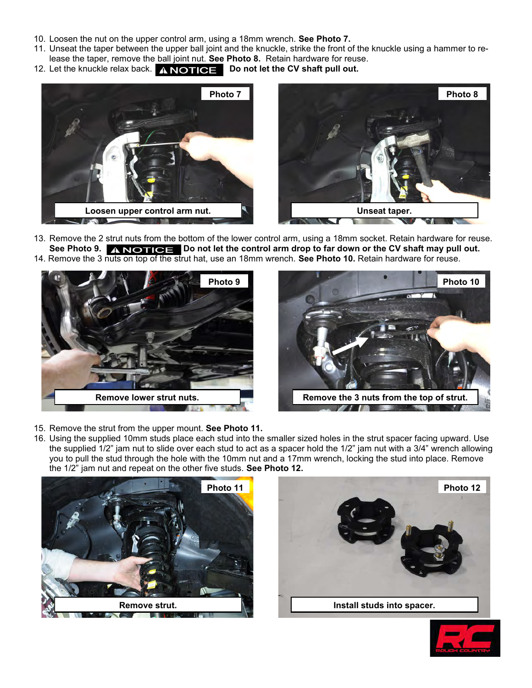- 10. Loosen the nut on the upper control arm, using a 18mm wrench. **See Photo 7.**
- 11. Unseat the taper between the upper ball joint and the knuckle, strike the front of the knuckle using a hammer to release the taper, remove the ball joint nut. **See Photo 8.** Retain hardware for reuse.
- 12. Let the knuckle relax back. **A NOTICE** Do not let the CV shaft pull out.





13. Remove the 2 strut nuts from the bottom of the lower control arm, using a 18mm socket. Retain hardware for reuse. See Photo 9. A **NOTICE** Do not let the control arm drop to far down or the CV shaft may pull out. 14. Remove the 3 nuts on top of the strut hat, use an 18mm wrench. **See Photo 10.** Retain hardware for reuse.





- 15. Remove the strut from the upper mount. **See Photo 11.**
- 16. Using the supplied 10mm studs place each stud into the smaller sized holes in the strut spacer facing upward. Use the supplied 1/2" jam nut to slide over each stud to act as a spacer hold the 1/2" jam nut with a 3/4" wrench allowing you to pull the stud through the hole with the 10mm nut and a 17mm wrench, locking the stud into place. Remove the 1/2" jam nut and repeat on the other five studs. **See Photo 12.**





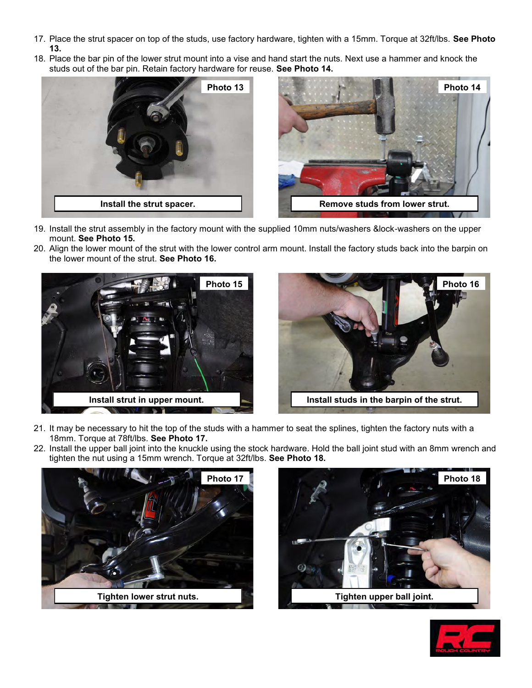- 17. Place the strut spacer on top of the studs, use factory hardware, tighten with a 15mm. Torque at 32ft/lbs. **See Photo 13.**
- 18. Place the bar pin of the lower strut mount into a vise and hand start the nuts. Next use a hammer and knock the studs out of the bar pin. Retain factory hardware for reuse. **See Photo 14.**





- 19. Install the strut assembly in the factory mount with the supplied 10mm nuts/washers &lock-washers on the upper mount. **See Photo 15.**
- 20. Align the lower mount of the strut with the lower control arm mount. Install the factory studs back into the barpin on the lower mount of the strut. **See Photo 16.**





- 21. It may be necessary to hit the top of the studs with a hammer to seat the splines, tighten the factory nuts with a 18mm. Torque at 78ft/lbs. **See Photo 17.**
- 22. Install the upper ball joint into the knuckle using the stock hardware. Hold the ball joint stud with an 8mm wrench and tighten the nut using a 15mm wrench. Torque at 32ft/lbs. **See Photo 18.**





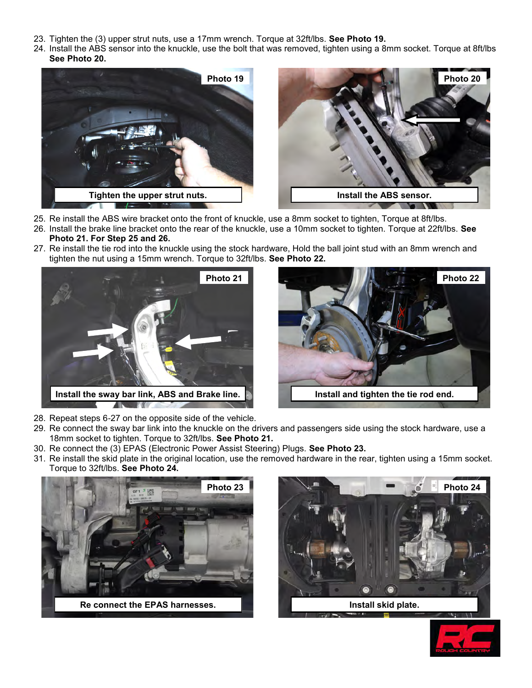- 23. Tighten the (3) upper strut nuts, use a 17mm wrench. Torque at 32ft/lbs. **See Photo 19.**
- 24. Install the ABS sensor into the knuckle, use the bolt that was removed, tighten using a 8mm socket. Torque at 8ft/lbs **See Photo 20.**





- 25. Re install the ABS wire bracket onto the front of knuckle, use a 8mm socket to tighten, Torque at 8ft/lbs.
- 26. Install the brake line bracket onto the rear of the knuckle, use a 10mm socket to tighten. Torque at 22ft/lbs. **See Photo 21. For Step 25 and 26.**
- 27. Re install the tie rod into the knuckle using the stock hardware, Hold the ball joint stud with an 8mm wrench and tighten the nut using a 15mm wrench. Torque to 32ft/lbs. **See Photo 22.**





- 28. Repeat steps 6-27 on the opposite side of the vehicle.
- 29. Re connect the sway bar link into the knuckle on the drivers and passengers side using the stock hardware, use a 18mm socket to tighten. Torque to 32ft/lbs. **See Photo 21.**
- 30. Re connect the (3) EPAS (Electronic Power Assist Steering) Plugs. **See Photo 23.**
- 31. Re install the skid plate in the original location, use the removed hardware in the rear, tighten using a 15mm socket. Torque to 32ft/lbs. **See Photo 24.**





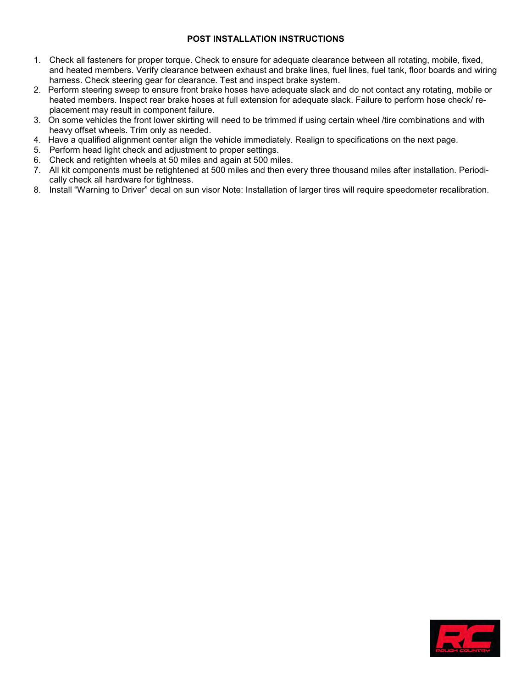### **POST INSTALLATION INSTRUCTIONS**

- 1. Check all fasteners for proper torque. Check to ensure for adequate clearance between all rotating, mobile, fixed, and heated members. Verify clearance between exhaust and brake lines, fuel lines, fuel tank, floor boards and wiring harness. Check steering gear for clearance. Test and inspect brake system.
- 2. Perform steering sweep to ensure front brake hoses have adequate slack and do not contact any rotating, mobile or heated members. Inspect rear brake hoses at full extension for adequate slack. Failure to perform hose check/ replacement may result in component failure.
- 3. On some vehicles the front lower skirting will need to be trimmed if using certain wheel /tire combinations and with heavy offset wheels. Trim only as needed.
- 4. Have a qualified alignment center align the vehicle immediately. Realign to specifications on the next page.
- 5. Perform head light check and adjustment to proper settings.
- 6. Check and retighten wheels at 50 miles and again at 500 miles.
- 7. All kit components must be retightened at 500 miles and then every three thousand miles after installation. Periodically check all hardware for tightness.
- 8. Install "Warning to Driver" decal on sun visor Note: Installation of larger tires will require speedometer recalibration.